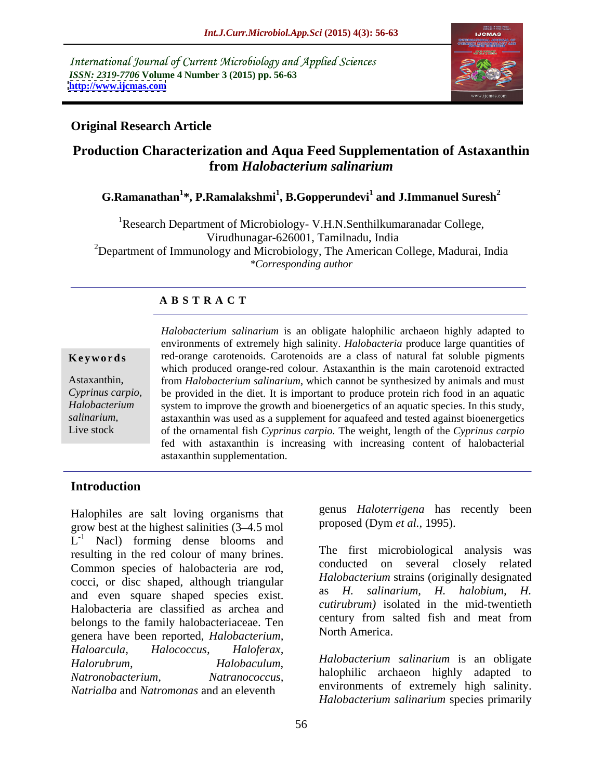International Journal of Current Microbiology and Applied Sciences *ISSN: 2319-7706* **Volume 4 Number 3 (2015) pp. 56-63 <http://www.ijcmas.com>**



### **Original Research Article**

# **Production Characterization and Aqua Feed Supplementation of Astaxanthin from** *Halobacterium salinarium*

## $\mathbf{G}.\mathbf{R}$ amanathan $^{1*},$   $\mathbf{P}.\mathbf{R}$ amalakshmi $^{1},$   $\mathbf{B}.\mathbf{G}$ opperundevi $^{1}$  and  $\mathbf{J}.\mathbf{I}$ mmanuel  $\mathbf{S}$ uresh $^{2}$

<sup>1</sup>Research Department of Microbiology- V.H.N.Senthilkumaranadar College, Virudhunagar-626001, Tamilnadu, India <sup>2</sup>Department of Immunology and Microbiology, The American College, Madurai, India *\*Corresponding author*

### **A B S T R A C T**

Live stock

*Halobacterium salinarium* is an obligate halophilic archaeon highly adapted to environments of extremely high salinity. *Halobacteria* produce large quantities of **Keywords** red-orange carotenoids. Carotenoids are a class of natural fat soluble pigments which produced orange-red colour. Astaxanthin is the main carotenoid extracted from *Halobacterium salinarium*, which cannot be synthesized by animals and must Astaxanthin, be provided in the diet. It is important to produce protein rich food in an aquatic *Cyprinus carpio,*  Halobacterium system to improve the growth and bioenergetics of an aquatic species. In this study, salinarium, astaxanthin was used as a supplement for aquafeed and tested against bioenergetics of the ornamental fish *Cyprinus carpio.* The weight, length of the *Cyprinus carpio* fed with astaxanthin is increasing with increasing content of halobacterial astaxanthin supplementation.

### **Introduction**

Halophiles are salt loving organisms that grow best at the highest salinities (3 4.5 mol  $L^{-1}$  Nacl) forming dense blooms and resulting in the red colour of many brines. Common species of halobacteria are rod, cocci, or disc shaped, although triangular *Halobacterium* strains (originally designated<br>coci, or disc shaped, anodice, original as H. salinarium. H. halobium. H. and even square shaped species exist. Halobacteria are classified as archea and belongs to the family halobacteriaceae. Ten genera have been reported, *Halobacterium, Haloarcula, Halococcus, Haloferax, Halorubrum, Halobaculum, Halobacterium salinarium* is an obligate *Natronobacterium, Natranococcus,* halophilic archaeon highly adapted to *Natrialba* and *Natromonas* and an eleventh

genus *Haloterrigena* has recently been proposed (Dym *et al.,* 1995).

The first microbiological analysis was conducted on several closely related *Halobacterium* strains (originally designated as *H. salinarium, H. halobium, H. cutirubrum)* isolated in the mid-twentieth century from salted fish and meat from North America.

environments of extremely high salinity. *Halobacterium salinarium* species primarily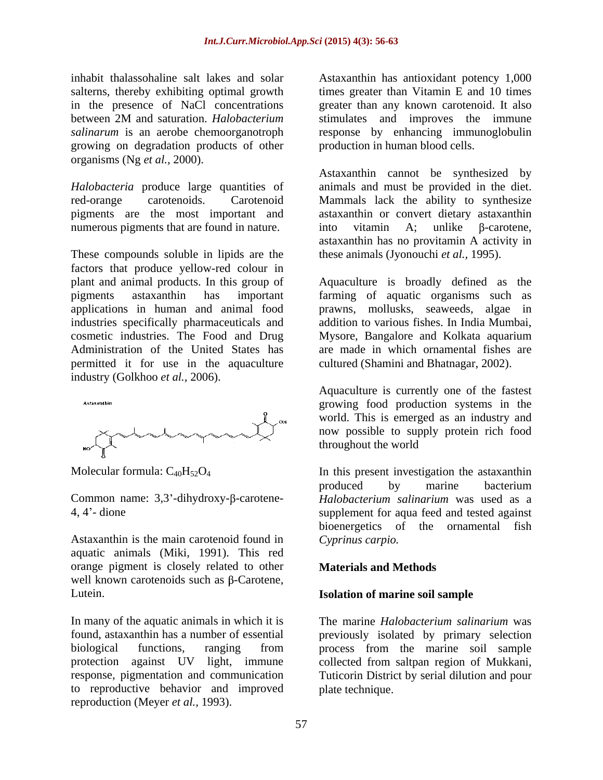in the presence of NaCl concentrations growing on degradation products of other organisms (Ng *et al.,* 2000).

numerous pigments that are found in nature.  $\cdot$  into vitamin A; unlike  $\beta$ -carotene,

These compounds soluble in lipids are the factors that produce yellow-red colour in applications in human and animal food permitted it for use in the aquaculture industry (Golkhoo *et al.,* 2006).



Common name:  $3,3'$ -dihydroxy- $\beta$ -carotene-

Astaxanthin is the main carotenoid found in aquatic animals (Miki, 1991). This red orange pigment is closely related to other **Materials and Methods** well known carotenoids such as  $\beta$ -Carotene, Lutein. **Isolation of marine soil sample**

In many of the aquatic animals in which it is The marine *Halobacterium salinarium* was to reproductive behavior and improved reproduction (Meyer *et al.,* 1993).

inhabit thalassohaline salt lakes and solar Astaxanthin has antioxidant potency 1,000 salterns, thereby exhibiting optimal growth times greater than Vitamin E and 10 times between 2M and saturation. *Halobacterium*  salinarum is an aerobe chemoorganotroph response by enhancing immunoglobulin greater than any known carotenoid. It also stimulates and improves the immune production in human blood cells.

*Halobacteria* produce large quantities of animals and must be provided in the diet. red-orange carotenoids. Carotenoid Mammals lack the ability to synthesize pigments are the most important and astaxanthin or convert dietary astaxanthin Astaxanthin cannot be synthesized by into vitamin A; unlike  $\beta$ -carotene, astaxanthin has no provitamin A activity in these animals (Jyonouchi *et al.,* 1995).

plant and animal products. In this group of Aquaculture is broadly defined as the pigments astaxanthin has important farming of aquatic organisms such as industries specifically pharmaceuticals and addition to various fishes. In India Mumbai, cosmetic industries. The Food and Drug Mysore, Bangalore and Kolkata aquarium Administration of the United States has are made in which ornamental fishes are prawns, mollusks, seaweeds, algae in cultured (Shamini and Bhatnagar, 2002).

> Aquaculture is currently one of the fastest growing food production systems in the world. This is emerged as an industry and now possible to supply protein rich food throughout the world

Molecular formula:  $C_{40}H_{52}O_4$  In this present investigation the astaxanthin 4, 4 - dione supplement for aqua feed and tested against produced by marine bacterium *Halobacterium salinarium* was used as a bioenergetics of the ornamental fish *Cyprinus carpio.*

### **Materials and Methods**

found, astaxanthin has a number of essential previously isolated by primary selection biological functions, ranging from process from the marine soil sample protection against UV light, immune collected from saltpan region of Mukkani, response, pigmentation and communication Tuticorin District by serial dilution and pour The marine *Halobacterium salinarium* was plate technique.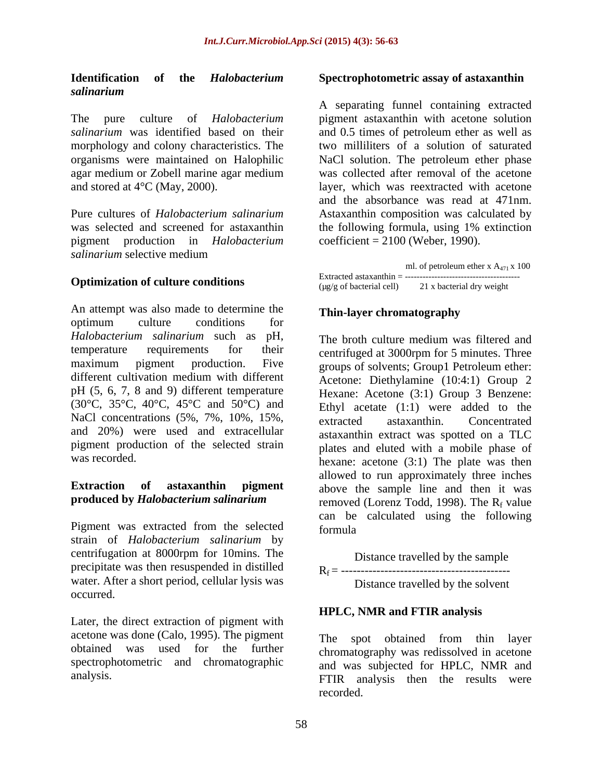#### **Identification of the** *Halobacterium*  **Spectrophotometric assay of astaxanthin** *salinarium*

The pure culture of *Halobacterium*  pigment astaxanthin with acetone solution *salinarium* was identified based on their and 0.5 times of petroleum ether as well as morphology and colony characteristics. The organisms were maintained on Halophilic NaCl solution. The petroleum ether phase agar medium or Zobell marine agar medium was collected after removal of the acetone and stored at 4°C (May, 2000). layer, which was reextracted with acetone

pigment production in *Halobacterium salinarium* selective medium<br>
ml. of petroleum ether x A<sub>471</sub> x 100

An attempt was also made to determine the optimum culture conditions for  $\cdot$   $\cdot$   $\cdot$   $\cdot$ *Halobacterium salinarium* such as pH, pH (5, 6, 7, 8 and 9) different temperature (30°C, 35°C, 40°C, 45°C and 50°C) and NaCl concentrations (5%, 7%, 10%, 15%, extracted astaxanthin. Concentrated and 20%) were used and extracellular pigment production of the selected strain

Pigment was extracted from the selected formula strain of *Halobacterium salinarium* by centrifugation at 8000rpm for 10mins. The precipitate was then resuspended in distilled Rf = ------------------------------------------ water. After a short period, cellular lysis was occurred.

Later, the direct extraction of pigment with acetone was done (Calo, 1995). The pigment spectrophotometric and chromatographic

Pure cultures of *Halobacterium salinarium* Astaxanthin composition was calculated by was selected and screened for astaxanthin the following formula, using 1% extinction A separating funnel containing extracted and 0.5 times of petroleum ether as well as two milliliters of a solution of saturated and the absorbance was read at 471nm.  $coefficient = 2100$  (Weber, 1990).

**Optimization of culture conditions**<br>( $\mu$ g/g of bacterial cell) 21 x bacterial dry weight ml. of petroleum ether x  $A_{471}$  x 100 Extracted astaxanthin = --------------------------------------- (µg/g of bacterial cell) 21 x bacterial dry weight

#### **Thin-layer chromatography**

temperature requirements for their centrifuged at 3000rpm for 5 minutes. Three maximum pigment production. Five groups of solvents; Group1 Petroleum ether: different cultivation medium with different Acetone: Diethylamine (10:4:1) Group 2 was recorded.  $h$  hexane: acetone (3:1) The plate was then **Extraction** of **astaxanthin pigment** above the sample line and then it was **produced by** *Halobacterium salinarium* The broth culture medium was filtered and Hexane: Acetone (3:1) Group 3 Benzene: Ethyl acetate (1:1) were added to the extracted astaxanthin. Concentrated astaxanthin extract was spotted on a TLC plates and eluted with a mobile phase of allowed to run approximately three inches removed (Lorenz Todd, 1998). The  $R_f$  value can be calculated using the following formula

> Distance travelled by the sample Distance travelled by the solvent

#### **HPLC, NMR and FTIR analysis**

obtained was used for the further chromatography was redissolved in acetone analysis. FTIR analysis then the results were The spot obtained from thin layer and was subjected for HPLC, NMR and recorded.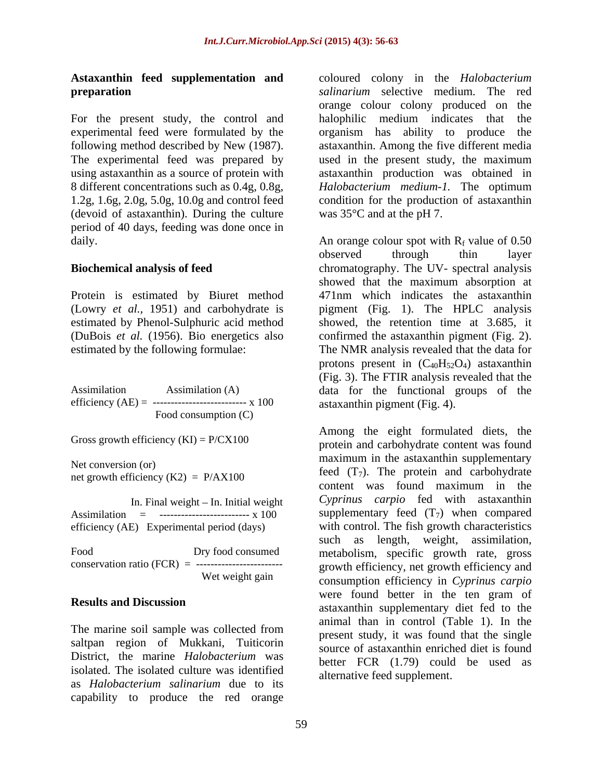# **Astaxanthin feed supplementation and**

For the present study, the control and halophilic medium indicates that the experimental feed were formulated by the same organism has ability to produce the (devoid of astaxanthin). During the culture period of 40 days, feeding was done once in

Protein is estimated by Biuret method

efficiency  $(AE) =$  -------------------------- x 100 Food consumption (C)

net growth efficiency  $(K2) = P/AX100$ 

Assimilation = ------------------------- x 100

The marine soil sample was collected from saltpan region of Mukkani, Tuiticorin District, the marine *Halobacterium* was isolated. The isolated culture was identified as *Halobacterium salinarium* due to its capability to produce the red orange

**preparation** *salinarium* selective medium. The red following method described by New (1987). astaxanthin. Among the five different media The experimental feed was prepared by used in the present study, the maximum using astaxanthin as a source of protein with astaxanthin production was obtained in 8 different concentrations such as 0.4g, 0.8g, *Halobacterium medium-1.* The optimum 1.2g, 1.6g, 2.0g, 5.0g, 10.0g and control feed condition for the production of astaxanthin coloured colony in the *Halobacterium*  orange colour colony produced on the halophilic medium indicates that the organism has ability to produce was 35°C and at the pH 7.

daily.  $\Delta n$  orange colour spot with  $R_f$  value of 0.50 **Biochemical analysis of feed** chromatography. The UV- spectral analysis (Lowry *et al.*, 1951) and carbohydrate is pigment (Fig. 1). The HPLC analysis estimated by Phenol-Sulphuric acid method showed, the retention time at 3.685, it (DuBois *et al.* (1956). Bio energetics also confirmed the astaxanthin pigment (Fig. 2). estimated by the following formulae: The NMR analysis revealed that the data for Assimilation Assimilation (A) data for the functional groups of the observed through thin layer showed that the maximum absorption at 471nm which indicates the astaxanthin protons present in  $(C_{40}H_{52}O_4)$  astaxanthin (Fig. 3). The FTIR analysis revealed that the astaxanthin pigment (Fig. 4).

Gross growth efficiency  $(KI) = P/CX100$  protein and carbohydrate content was found Net conversion (or)<br>
haximum in the astaxaming supplementary<br>
feed  $(T_7)$ . The protein and carbohydrate In. Final weight - In. Initial weight *Cyprinus carpio* fed with astaxanthin efficiency (AE) Experimental period (days) with control. The fish growth characteristics Food Dry food consumed metabolism, specific growth rate, gross conservation ratio (FCR) = ------------------------ growth efficiency, net growth efficiency and Wet weight gain  $\sum_{n=1}^{\infty}$  *consumption efficiency in <i>Cyprinus carpio* **Results and Discussion**<br>
astaxanthin supplementary diet fed to the Among the eight formulated diets, the maximum in the astaxanthin supplementary content was found maximum in the supplementary feed  $(T_7)$  when compared such as length, weight, assimilation, were found better in the ten gram of animal than in control (Table 1). In the present study, it was found that the single source of astaxanthin enriched diet is found better FCR (1.79) could be used as alternative feed supplement.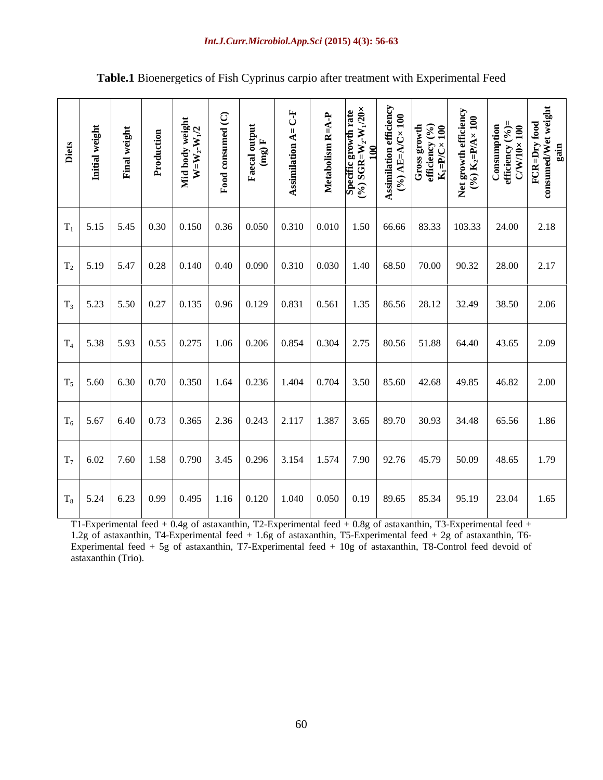#### *Int.J.Curr.Microbiol.App.Sci* **(2015) 4(3): 56-63**

| Diets<br>Initial weight | ight<br>Final w | $\overline{\phantom{a}}$ | Mid body weigh<br>W=W <sub>-</sub> -W-V <sup>1/2</sup> | $= C \cdot F$<br>$\blacktriangleleft$<br>$\blacktriangleleft$ | $\frac{1}{N}$<br>$\frac{1}{2}$<br>Metabolism<br>Specific grov<br>(%) SGR=W <sub>2</sub> | Assimilation efficiency (%)<br>Gross growth<br>Gross growth<br>efficiency (%)<br>E <sub>A</sub> =P/C× 100<br>Net growth efficiency (%)<br>(%) K <sub>2</sub> =P/A× 100<br>Consumption<br>efficiency (%)=<br>C/W/10× 100<br>ECR=Dry food<br>consumed/Wet weig |  |  |
|-------------------------|-----------------|--------------------------|--------------------------------------------------------|---------------------------------------------------------------|-----------------------------------------------------------------------------------------|--------------------------------------------------------------------------------------------------------------------------------------------------------------------------------------------------------------------------------------------------------------|--|--|
|                         |                 |                          |                                                        |                                                               |                                                                                         | $T_1$ 5.15 5.45 0.30 0.150 0.36 0.050 0.310 0.010 1.50 66.66 83.33 103.33 24.00 2.18                                                                                                                                                                         |  |  |
|                         |                 |                          |                                                        |                                                               |                                                                                         | $T_2$ 5.19 5.47 0.28 0.140 0.40 0.090 0.310 0.030 1.40 68.50 70.00 90.32 28.00 2.17                                                                                                                                                                          |  |  |
|                         |                 |                          |                                                        |                                                               |                                                                                         | $T_3$ 5.23 5.50 0.27 0.135 0.96 0.129 0.831 0.561 1.35 86.56 28.12 32.49 38.50 2.06                                                                                                                                                                          |  |  |
|                         |                 |                          |                                                        |                                                               |                                                                                         | $\mid$ T <sub>4</sub>   5.38   5.93   0.55   0.275   1.06   0.206   0.854   0.304   2.75   80.56   51.88   64.40   43.65   2.09                                                                                                                              |  |  |
|                         |                 |                          |                                                        |                                                               |                                                                                         | $T_5$ 5.60 6.30 0.70 0.350 1.64 0.236 1.404 0.704 3.50 85.60 42.68 49.85 46.82 2.00                                                                                                                                                                          |  |  |
|                         |                 |                          |                                                        |                                                               |                                                                                         | $T_6$ 5.67 6.40 0.73 0.365 2.36 0.243 2.117 1.387 3.65 89.70 30.93 34.48 65.56 1.86                                                                                                                                                                          |  |  |
|                         |                 |                          |                                                        |                                                               |                                                                                         | $\mid$ T <sub>7</sub> $\mid$ 6.02 $\mid$ 7.60 $\mid$ 1.58 $\mid$ 0.790 $\mid$ 3.45 $\mid$ 0.296 $\mid$ 3.154 $\mid$ 1.574 $\mid$ 7.90 $\mid$ 92.76 $\mid$ 45.79 $\mid$ 50.09 $\mid$ 48.65 $\mid$ 1.79                                                        |  |  |
|                         |                 |                          |                                                        |                                                               |                                                                                         | $\mid$ T <sub>8</sub>   5.24   6.23   0.99   0.495   1.16   0.120   1.040   0.050   0.19   89.65   85.34   95.19   23.04   1.65                                                                                                                              |  |  |

## **Table.1** Bioenergetics of Fish Cyprinus carpio after treatment with Experimental Feed

T1-Experimental feed + 0.4g of astaxanthin, T2-Experimental feed + 0.8g of astaxanthin, T3-Experimental feed + 1.2g of astaxanthin, T4-Experimental feed + 1.6g of astaxanthin, T5-Experimental feed + 2g of astaxanthin, T6- Experimental feed + 5g of astaxanthin, T7-Experimental feed + 10g of astaxanthin, T8-Control feed devoid of astaxanthin (Trio).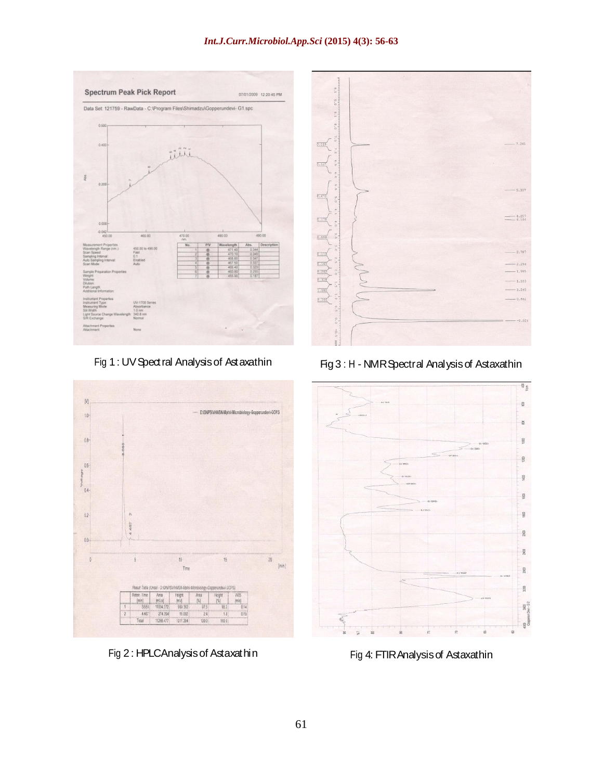#### *Int.J.Curr.Microbiol.App.Sci* **(2015) 4(3): 56-63**





Fig 2 : HPLCAnalysisof Astaxathin



Fig 1 : UVSpectral Analysisof Astaxathin Fig3 : H - NMRSpectral Analysisof Astaxathin



Fig 4: FTIRAnalysisof Astaxathin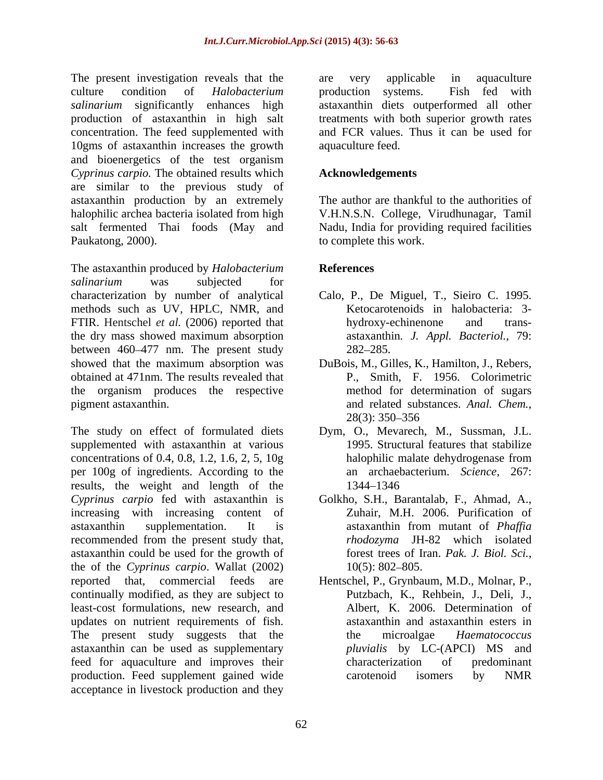The present investigation reveals that the are very applicable in aquaculture culture condition of *Halobacterium salinarium* significantly enhances high astaxanthin diets outperformed all other production of astaxanthin in high salt treatments with both superior growth rates concentration. The feed supplemented with 10gms of astaxanthin increases the growth and bioenergetics of the test organism *Cyprinus carpio.* The obtained results which are similar to the previous study of astaxanthin production by an extremely halophilic archea bacteria isolated from high V.H.N.S.N. College, Virudhunagar, Tamil salt fermented Thai foods (May and Nadu, India for providing required facilities Paukatong, 2000). to complete this work.

The astaxanthin produced by *Halobacterium salinarium* was subjected for characterization by number of analytical Calo, P., De Miguel, T., Sieiro C. 1995. methods such as UV, HPLC, NMR, and FTIR. Hentschel *et al.* (2006) reported that hydroxy-echinenone and transthe dry mass showed maximum absorption between 460–477 nm. The present study 282–285. showed that the maximum absorption was DuBois, M., Gilles, K., Hamilton, J., Rebers, obtained at 471nm. The results revealed that the organism produces the respective pigment astaxanthin. The and related substances. Anal. Chem.,

The study on effect of formulated diets Dym, O., Mevarech, M., Sussman, J.L. supplemented with astaxanthin at various concentrations of 0.4, 0.8, 1.2, 1.6, 2, 5, 10g per 100g of ingredients. According to the results, the weight and length of the *Cyprinus carpio* fed with astaxanthin is Golkho, S.H., Barantalab, F., Ahmad, A., increasing with increasing content of Zuhair, M.H. 2006. Purification of astaxanthin supplementation. It is astaxanthin from mutant of *Phaffia* recommended from the present study that, astaxanthin could be used for the growth of the of the *Cyprinus carpio*. Wallat (2002) continually modified, as they are subject to least-cost formulations, new research, and updates on nutrient requirements of fish. The present study suggests that the the microalgae *Haematococcus* astaxanthin can be used as supplementary feed for aquaculture and improves their production. Feed supplement gained wide carotenoid isomers by NMR acceptance in livestock production and they

are very applicable in aquaculture production systems. Fish fed with and FCR values. Thus it can be used for aquaculture feed.

### **Acknowledgements**

The author are thankful to the authorities of

## **References**

- Ketocarotenoids in halobacteria: 3 hydroxy-echinenone and trans astaxanthin*. J. Appl. Bacteriol.,* 79: 282–285.
- P., Smith, F. 1956. Colorimetric method for determination of sugars and related substances. *Anal. Chem.*,<br>28(3): 350–356
- 1995. Structural features that stabilize halophilic malate dehydrogenase from an archaebacterium. *Science,* 267: 1344 1346
- astaxanthin from mutant of *Phaffia rhodozyma* JH-82 which isolated forest trees of Iran. *Pak. J. Biol. Sci.,*  $10(5)$ : 802–805.
- reported that, commercial feeds are Hentschel, P., Grynbaum, M.D., Molnar, P., Putzbach, K., Rehbein, J., Deli, J., Albert, K. 2006. Determination of astaxanthin and astaxanthin esters in the microalgae *Haematococcus pluvialis* by LC-(APCI) MS and characterization of predominant carotenoid isomers by NMR